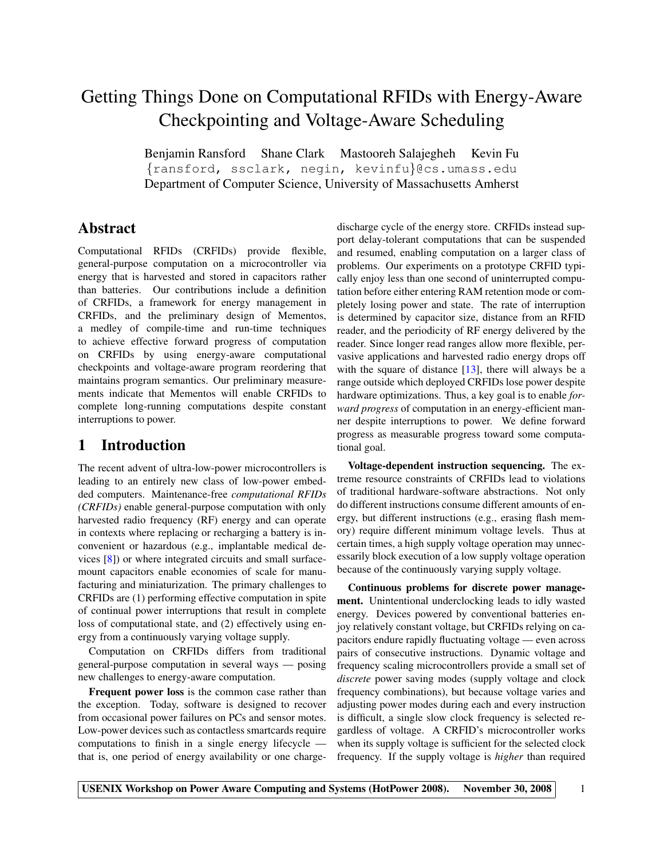# Getting Things Done on Computational RFIDs with Energy-Aware Checkpointing and Voltage-Aware Scheduling

Benjamin Ransford Shane Clark Mastooreh Salajegheh Kevin Fu {ransford, ssclark, negin, kevinfu}@cs.umass.edu Department of Computer Science, University of Massachusetts Amherst

### Abstract

Computational RFIDs (CRFIDs) provide flexible, general-purpose computation on a microcontroller via energy that is harvested and stored in capacitors rather than batteries. Our contributions include a definition of CRFIDs, a framework for energy management in CRFIDs, and the preliminary design of Mementos, a medley of compile-time and run-time techniques to achieve effective forward progress of computation on CRFIDs by using energy-aware computational checkpoints and voltage-aware program reordering that maintains program semantics. Our preliminary measurements indicate that Mementos will enable CRFIDs to complete long-running computations despite constant interruptions to power.

### 1 Introduction

The recent advent of ultra-low-power microcontrollers is leading to an entirely new class of low-power embedded computers. Maintenance-free *computational RFIDs (CRFIDs)* enable general-purpose computation with only harvested radio frequency (RF) energy and can operate in contexts where replacing or recharging a battery is inconvenient or hazardous (e.g., implantable medical devices [\[8\]](#page-5-0)) or where integrated circuits and small surfacemount capacitors enable economies of scale for manufacturing and miniaturization. The primary challenges to CRFIDs are (1) performing effective computation in spite of continual power interruptions that result in complete loss of computational state, and (2) effectively using energy from a continuously varying voltage supply.

Computation on CRFIDs differs from traditional general-purpose computation in several ways — posing new challenges to energy-aware computation.

Frequent power loss is the common case rather than the exception. Today, software is designed to recover from occasional power failures on PCs and sensor motes. Low-power devices such as contactless smartcards require computations to finish in a single energy lifecycle that is, one period of energy availability or one chargedischarge cycle of the energy store. CRFIDs instead support delay-tolerant computations that can be suspended and resumed, enabling computation on a larger class of problems. Our experiments on a prototype CRFID typically enjoy less than one second of uninterrupted computation before either entering RAM retention mode or completely losing power and state. The rate of interruption is determined by capacitor size, distance from an RFID reader, and the periodicity of RF energy delivered by the reader. Since longer read ranges allow more flexible, pervasive applications and harvested radio energy drops off with the square of distance  $[13]$ , there will always be a range outside which deployed CRFIDs lose power despite hardware optimizations. Thus, a key goal is to enable *forward progress* of computation in an energy-efficient manner despite interruptions to power. We define forward progress as measurable progress toward some computational goal.

Voltage-dependent instruction sequencing. The extreme resource constraints of CRFIDs lead to violations of traditional hardware-software abstractions. Not only do different instructions consume different amounts of energy, but different instructions (e.g., erasing flash memory) require different minimum voltage levels. Thus at certain times, a high supply voltage operation may unnecessarily block execution of a low supply voltage operation because of the continuously varying supply voltage.

Continuous problems for discrete power management. Unintentional underclocking leads to idly wasted energy. Devices powered by conventional batteries enjoy relatively constant voltage, but CRFIDs relying on capacitors endure rapidly fluctuating voltage — even across pairs of consecutive instructions. Dynamic voltage and frequency scaling microcontrollers provide a small set of *discrete* power saving modes (supply voltage and clock frequency combinations), but because voltage varies and adjusting power modes during each and every instruction is difficult, a single slow clock frequency is selected regardless of voltage. A CRFID's microcontroller works when its supply voltage is sufficient for the selected clock frequency. If the supply voltage is *higher* than required

USENIX Workshop on Power Aware Computing and Systems (HotPower 2008). November 30, 2008 1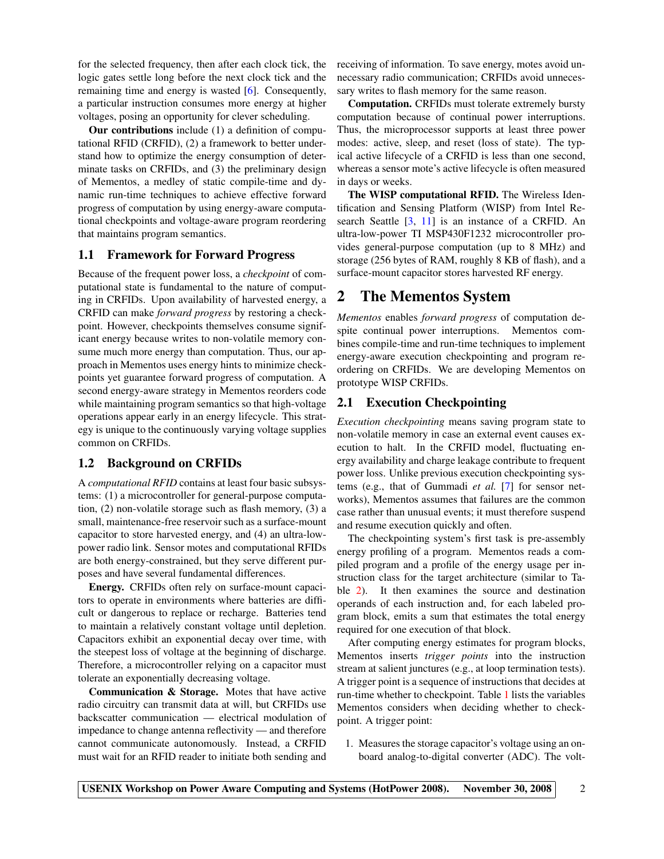for the selected frequency, then after each clock tick, the logic gates settle long before the next clock tick and the remaining time and energy is wasted [\[6\]](#page-5-2). Consequently, a particular instruction consumes more energy at higher voltages, posing an opportunity for clever scheduling.

Our contributions include (1) a definition of computational RFID (CRFID), (2) a framework to better understand how to optimize the energy consumption of determinate tasks on CRFIDs, and (3) the preliminary design of Mementos, a medley of static compile-time and dynamic run-time techniques to achieve effective forward progress of computation by using energy-aware computational checkpoints and voltage-aware program reordering that maintains program semantics.

#### 1.1 Framework for Forward Progress

Because of the frequent power loss, a *checkpoint* of computational state is fundamental to the nature of computing in CRFIDs. Upon availability of harvested energy, a CRFID can make *forward progress* by restoring a checkpoint. However, checkpoints themselves consume significant energy because writes to non-volatile memory consume much more energy than computation. Thus, our approach in Mementos uses energy hints to minimize checkpoints yet guarantee forward progress of computation. A second energy-aware strategy in Mementos reorders code while maintaining program semantics so that high-voltage operations appear early in an energy lifecycle. This strategy is unique to the continuously varying voltage supplies common on CRFIDs.

#### 1.2 Background on CRFIDs

A *computational RFID* contains at least four basic subsystems: (1) a microcontroller for general-purpose computation, (2) non-volatile storage such as flash memory, (3) a small, maintenance-free reservoir such as a surface-mount capacitor to store harvested energy, and (4) an ultra-lowpower radio link. Sensor motes and computational RFIDs are both energy-constrained, but they serve different purposes and have several fundamental differences.

Energy. CRFIDs often rely on surface-mount capacitors to operate in environments where batteries are difficult or dangerous to replace or recharge. Batteries tend to maintain a relatively constant voltage until depletion. Capacitors exhibit an exponential decay over time, with the steepest loss of voltage at the beginning of discharge. Therefore, a microcontroller relying on a capacitor must tolerate an exponentially decreasing voltage.

Communication & Storage. Motes that have active radio circuitry can transmit data at will, but CRFIDs use backscatter communication — electrical modulation of impedance to change antenna reflectivity — and therefore cannot communicate autonomously. Instead, a CRFID must wait for an RFID reader to initiate both sending and receiving of information. To save energy, motes avoid unnecessary radio communication; CRFIDs avoid unnecessary writes to flash memory for the same reason.

Computation. CRFIDs must tolerate extremely bursty computation because of continual power interruptions. Thus, the microprocessor supports at least three power modes: active, sleep, and reset (loss of state). The typical active lifecycle of a CRFID is less than one second, whereas a sensor mote's active lifecycle is often measured in days or weeks.

The WISP computational RFID. The Wireless Identification and Sensing Platform (WISP) from Intel Research Seattle [\[3,](#page-5-3) [11\]](#page-5-4) is an instance of a CRFID. An ultra-low-power TI MSP430F1232 microcontroller provides general-purpose computation (up to 8 MHz) and storage (256 bytes of RAM, roughly 8 KB of flash), and a surface-mount capacitor stores harvested RF energy.

### 2 The Mementos System

*Mementos* enables *forward progress* of computation despite continual power interruptions. Mementos combines compile-time and run-time techniques to implement energy-aware execution checkpointing and program reordering on CRFIDs. We are developing Mementos on prototype WISP CRFIDs.

#### 2.1 Execution Checkpointing

*Execution checkpointing* means saving program state to non-volatile memory in case an external event causes execution to halt. In the CRFID model, fluctuating energy availability and charge leakage contribute to frequent power loss. Unlike previous execution checkpointing systems (e.g., that of Gummadi *et al.* [\[7\]](#page-5-5) for sensor networks), Mementos assumes that failures are the common case rather than unusual events; it must therefore suspend and resume execution quickly and often.

The checkpointing system's first task is pre-assembly energy profiling of a program. Mementos reads a compiled program and a profile of the energy usage per instruction class for the target architecture (similar to Table [2\)](#page-4-0). It then examines the source and destination operands of each instruction and, for each labeled program block, emits a sum that estimates the total energy required for one execution of that block.

After computing energy estimates for program blocks, Mementos inserts *trigger points* into the instruction stream at salient junctures (e.g., at loop termination tests). A trigger point is a sequence of instructions that decides at run-time whether to checkpoint. Table [1](#page-2-0) lists the variables Mementos considers when deciding whether to checkpoint. A trigger point:

1. Measures the storage capacitor's voltage using an onboard analog-to-digital converter (ADC). The volt-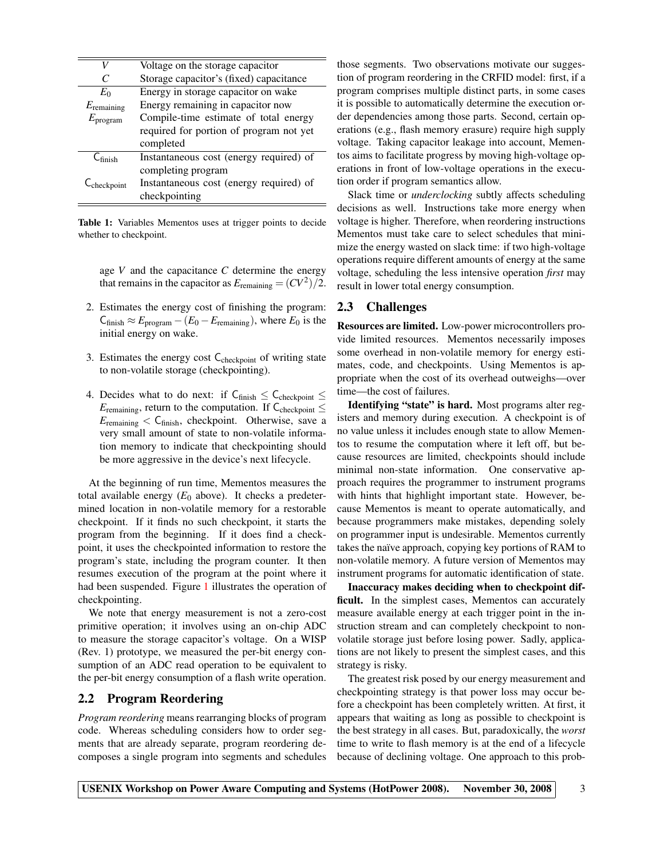| V                      | Voltage on the storage capacitor        |  |  |  |
|------------------------|-----------------------------------------|--|--|--|
|                        | Storage capacitor's (fixed) capacitance |  |  |  |
| $E_0$                  | Energy in storage capacitor on wake     |  |  |  |
| $E_{\text{remaining}}$ | Energy remaining in capacitor now       |  |  |  |
| $E_{\rm program}$      | Compile-time estimate of total energy   |  |  |  |
|                        | required for portion of program not yet |  |  |  |
|                        | completed                               |  |  |  |
| $C_{\text{finish}}$    | Instantaneous cost (energy required) of |  |  |  |
|                        | completing program                      |  |  |  |
| $\sim$ checkpoint      | Instantaneous cost (energy required) of |  |  |  |
|                        | checkpointing                           |  |  |  |

<span id="page-2-0"></span>Table 1: Variables Mementos uses at trigger points to decide whether to checkpoint.

age *V* and the capacitance *C* determine the energy that remains in the capacitor as  $E_{\text{remaining}} = (CV^2)/2$ .

- 2. Estimates the energy cost of finishing the program:  $C_{\text{finish}} \approx E_{\text{program}} - (E_0 - E_{\text{remaining}})$ , where  $E_0$  is the initial energy on wake.
- 3. Estimates the energy cost  $C_{\text{checkpoint}}$  of writing state to non-volatile storage (checkpointing).
- 4. Decides what to do next: if  $C_{\text{finish}} \leq C_{\text{checkpoint}} \leq$  $E_{\text{remaining}}$ , return to the computation. If  $C_{\text{checkpoint}} \leq$  $E_{\text{remaining}} < C_{\text{ finish}}$ , checkpoint. Otherwise, save a very small amount of state to non-volatile information memory to indicate that checkpointing should be more aggressive in the device's next lifecycle.

At the beginning of run time, Mementos measures the total available energy  $(E_0$  above). It checks a predetermined location in non-volatile memory for a restorable checkpoint. If it finds no such checkpoint, it starts the program from the beginning. If it does find a checkpoint, it uses the checkpointed information to restore the program's state, including the program counter. It then resumes execution of the program at the point where it had been suspended. Figure [1](#page-3-0) illustrates the operation of checkpointing.

We note that energy measurement is not a zero-cost primitive operation; it involves using an on-chip ADC to measure the storage capacitor's voltage. On a WISP (Rev. 1) prototype, we measured the per-bit energy consumption of an ADC read operation to be equivalent to the per-bit energy consumption of a flash write operation.

#### 2.2 Program Reordering

*Program reordering* means rearranging blocks of program code. Whereas scheduling considers how to order segments that are already separate, program reordering decomposes a single program into segments and schedules those segments. Two observations motivate our suggestion of program reordering in the CRFID model: first, if a program comprises multiple distinct parts, in some cases it is possible to automatically determine the execution order dependencies among those parts. Second, certain operations (e.g., flash memory erasure) require high supply voltage. Taking capacitor leakage into account, Mementos aims to facilitate progress by moving high-voltage operations in front of low-voltage operations in the execution order if program semantics allow.

Slack time or *underclocking* subtly affects scheduling decisions as well. Instructions take more energy when voltage is higher. Therefore, when reordering instructions Mementos must take care to select schedules that minimize the energy wasted on slack time: if two high-voltage operations require different amounts of energy at the same voltage, scheduling the less intensive operation *first* may result in lower total energy consumption.

#### 2.3 Challenges

Resources are limited. Low-power microcontrollers provide limited resources. Mementos necessarily imposes some overhead in non-volatile memory for energy estimates, code, and checkpoints. Using Mementos is appropriate when the cost of its overhead outweighs—over time—the cost of failures.

Identifying "state" is hard. Most programs alter registers and memory during execution. A checkpoint is of no value unless it includes enough state to allow Mementos to resume the computation where it left off, but because resources are limited, checkpoints should include minimal non-state information. One conservative approach requires the programmer to instrument programs with hints that highlight important state. However, because Mementos is meant to operate automatically, and because programmers make mistakes, depending solely on programmer input is undesirable. Mementos currently takes the naïve approach, copying key portions of RAM to non-volatile memory. A future version of Mementos may instrument programs for automatic identification of state.

Inaccuracy makes deciding when to checkpoint difficult. In the simplest cases, Mementos can accurately measure available energy at each trigger point in the instruction stream and can completely checkpoint to nonvolatile storage just before losing power. Sadly, applications are not likely to present the simplest cases, and this strategy is risky.

The greatest risk posed by our energy measurement and checkpointing strategy is that power loss may occur before a checkpoint has been completely written. At first, it appears that waiting as long as possible to checkpoint is the best strategy in all cases. But, paradoxically, the *worst* time to write to flash memory is at the end of a lifecycle because of declining voltage. One approach to this prob-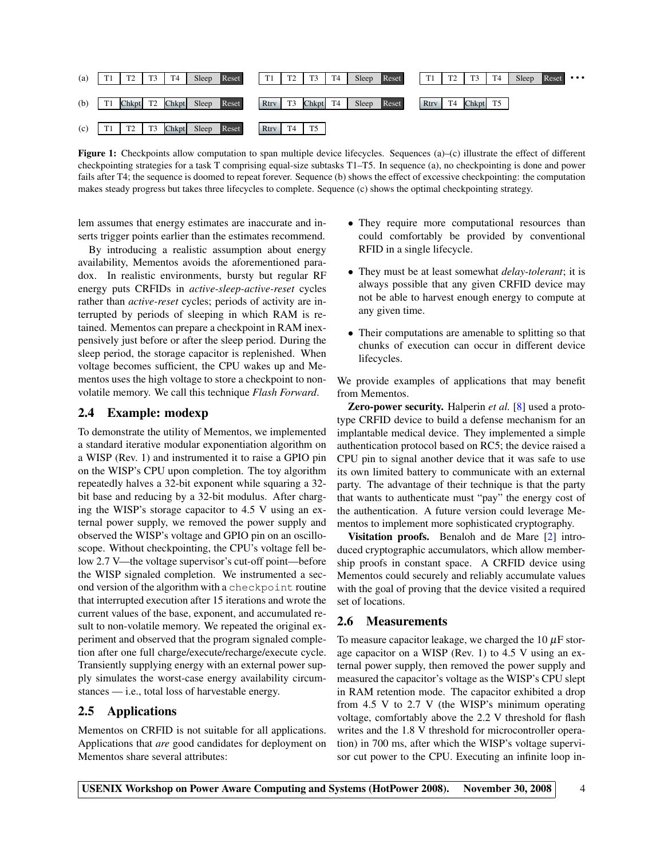

<span id="page-3-0"></span>Figure 1: Checkpoints allow computation to span multiple device lifecycles. Sequences (a)–(c) illustrate the effect of different checkpointing strategies for a task T comprising equal-size subtasks T1–T5. In sequence (a), no checkpointing is done and power fails after T4; the sequence is doomed to repeat forever. Sequence (b) shows the effect of excessive checkpointing: the computation makes steady progress but takes three lifecycles to complete. Sequence (c) shows the optimal checkpointing strategy.

lem assumes that energy estimates are inaccurate and inserts trigger points earlier than the estimates recommend.

By introducing a realistic assumption about energy availability, Mementos avoids the aforementioned paradox. In realistic environments, bursty but regular RF energy puts CRFIDs in *active-sleep-active-reset* cycles rather than *active-reset* cycles; periods of activity are interrupted by periods of sleeping in which RAM is retained. Mementos can prepare a checkpoint in RAM inexpensively just before or after the sleep period. During the sleep period, the storage capacitor is replenished. When voltage becomes sufficient, the CPU wakes up and Mementos uses the high voltage to store a checkpoint to nonvolatile memory. We call this technique *Flash Forward*.

#### 2.4 Example: modexp

To demonstrate the utility of Mementos, we implemented a standard iterative modular exponentiation algorithm on a WISP (Rev. 1) and instrumented it to raise a GPIO pin on the WISP's CPU upon completion. The toy algorithm repeatedly halves a 32-bit exponent while squaring a 32 bit base and reducing by a 32-bit modulus. After charging the WISP's storage capacitor to 4.5 V using an external power supply, we removed the power supply and observed the WISP's voltage and GPIO pin on an oscilloscope. Without checkpointing, the CPU's voltage fell below 2.7 V—the voltage supervisor's cut-off point—before the WISP signaled completion. We instrumented a second version of the algorithm with a checkpoint routine that interrupted execution after 15 iterations and wrote the current values of the base, exponent, and accumulated result to non-volatile memory. We repeated the original experiment and observed that the program signaled completion after one full charge/execute/recharge/execute cycle. Transiently supplying energy with an external power supply simulates the worst-case energy availability circumstances — i.e., total loss of harvestable energy.

#### 2.5 Applications

Mementos on CRFID is not suitable for all applications. Applications that *are* good candidates for deployment on Mementos share several attributes:

- They require more computational resources than could comfortably be provided by conventional RFID in a single lifecycle.
- They must be at least somewhat *delay-tolerant*; it is always possible that any given CRFID device may not be able to harvest enough energy to compute at any given time.
- Their computations are amenable to splitting so that chunks of execution can occur in different device lifecycles.

We provide examples of applications that may benefit from Mementos.

Zero-power security. Halperin *et al.* [\[8\]](#page-5-0) used a prototype CRFID device to build a defense mechanism for an implantable medical device. They implemented a simple authentication protocol based on RC5; the device raised a CPU pin to signal another device that it was safe to use its own limited battery to communicate with an external party. The advantage of their technique is that the party that wants to authenticate must "pay" the energy cost of the authentication. A future version could leverage Mementos to implement more sophisticated cryptography.

Visitation proofs. Benaloh and de Mare [\[2\]](#page-5-6) introduced cryptographic accumulators, which allow membership proofs in constant space. A CRFID device using Mementos could securely and reliably accumulate values with the goal of proving that the device visited a required set of locations.

#### 2.6 Measurements

To measure capacitor leakage, we charged the  $10 \mu$ F storage capacitor on a WISP (Rev. 1) to 4.5 V using an external power supply, then removed the power supply and measured the capacitor's voltage as the WISP's CPU slept in RAM retention mode. The capacitor exhibited a drop from 4.5 V to 2.7 V (the WISP's minimum operating voltage, comfortably above the 2.2 V threshold for flash writes and the 1.8 V threshold for microcontroller operation) in 700 ms, after which the WISP's voltage supervisor cut power to the CPU. Executing an infinite loop in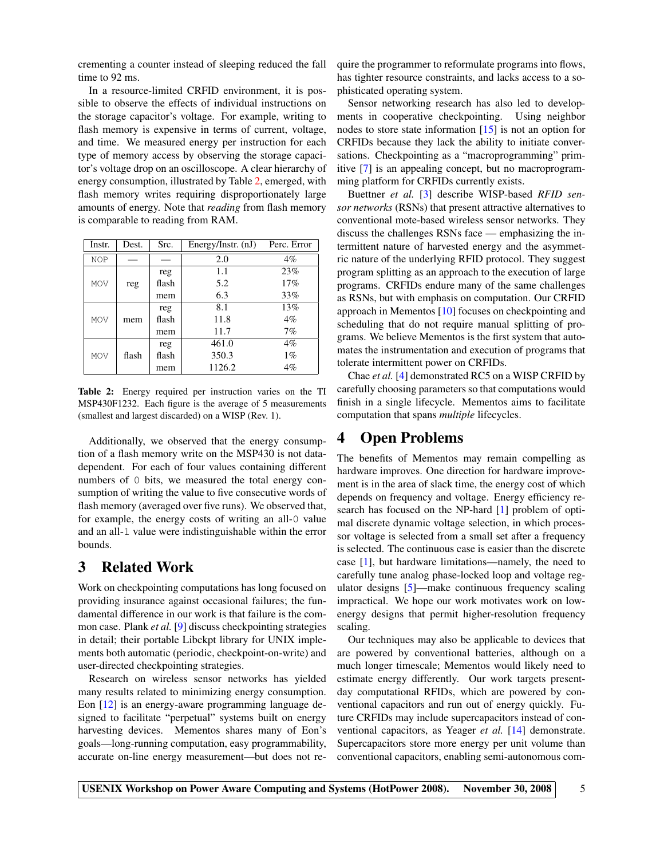crementing a counter instead of sleeping reduced the fall time to 92 ms.

In a resource-limited CRFID environment, it is possible to observe the effects of individual instructions on the storage capacitor's voltage. For example, writing to flash memory is expensive in terms of current, voltage, and time. We measured energy per instruction for each type of memory access by observing the storage capacitor's voltage drop on an oscilloscope. A clear hierarchy of energy consumption, illustrated by Table [2,](#page-4-0) emerged, with flash memory writes requiring disproportionately large amounts of energy. Note that *reading* from flash memory is comparable to reading from RAM.

| Instr.     | Dest. | Src.  | Energy/Instr. $(nJ)$ | Perc. Error |
|------------|-------|-------|----------------------|-------------|
| <b>NOP</b> |       |       | 2.0                  | $4\%$       |
| <b>MOV</b> | reg   | reg   | 1.1                  | 23%         |
|            |       | flash | 5.2                  | 17%         |
|            |       | mem   | 6.3                  | 33%         |
| <b>MOV</b> | mem   | reg   | 8.1                  | 13%         |
|            |       | flash | 11.8                 | $4\%$       |
|            |       | mem   | 11.7                 | 7%          |
| <b>MOV</b> | flash | reg   | 461.0                | $4\%$       |
|            |       | flash | 350.3                | $1\%$       |
|            |       | mem   | 1126.2               | 4%          |

<span id="page-4-0"></span>Table 2: Energy required per instruction varies on the TI MSP430F1232. Each figure is the average of 5 measurements (smallest and largest discarded) on a WISP (Rev. 1).

Additionally, we observed that the energy consumption of a flash memory write on the MSP430 is not datadependent. For each of four values containing different numbers of 0 bits, we measured the total energy consumption of writing the value to five consecutive words of flash memory (averaged over five runs). We observed that, for example, the energy costs of writing an all-0 value and an all-1 value were indistinguishable within the error bounds.

### 3 Related Work

Work on checkpointing computations has long focused on providing insurance against occasional failures; the fundamental difference in our work is that failure is the common case. Plank *et al.* [\[9\]](#page-5-7) discuss checkpointing strategies in detail; their portable Libckpt library for UNIX implements both automatic (periodic, checkpoint-on-write) and user-directed checkpointing strategies.

Research on wireless sensor networks has yielded many results related to minimizing energy consumption. Eon [\[12\]](#page-5-8) is an energy-aware programming language designed to facilitate "perpetual" systems built on energy harvesting devices. Mementos shares many of Eon's goals—long-running computation, easy programmability, accurate on-line energy measurement—but does not require the programmer to reformulate programs into flows, has tighter resource constraints, and lacks access to a sophisticated operating system.

Sensor networking research has also led to developments in cooperative checkpointing. Using neighbor nodes to store state information [\[15\]](#page-5-9) is not an option for CRFIDs because they lack the ability to initiate conversations. Checkpointing as a "macroprogramming" primitive [\[7\]](#page-5-5) is an appealing concept, but no macroprogramming platform for CRFIDs currently exists.

Buettner *et al.* [\[3\]](#page-5-3) describe WISP-based *RFID sensor networks* (RSNs) that present attractive alternatives to conventional mote-based wireless sensor networks. They discuss the challenges RSNs face — emphasizing the intermittent nature of harvested energy and the asymmetric nature of the underlying RFID protocol. They suggest program splitting as an approach to the execution of large programs. CRFIDs endure many of the same challenges as RSNs, but with emphasis on computation. Our CRFID approach in Mementos [\[10\]](#page-5-10) focuses on checkpointing and scheduling that do not require manual splitting of programs. We believe Mementos is the first system that automates the instrumentation and execution of programs that tolerate intermittent power on CRFIDs.

Chae *et al.* [\[4\]](#page-5-11) demonstrated RC5 on a WISP CRFID by carefully choosing parameters so that computations would finish in a single lifecycle. Mementos aims to facilitate computation that spans *multiple* lifecycles.

### 4 Open Problems

The benefits of Mementos may remain compelling as hardware improves. One direction for hardware improvement is in the area of slack time, the energy cost of which depends on frequency and voltage. Energy efficiency research has focused on the NP-hard [\[1\]](#page-5-12) problem of optimal discrete dynamic voltage selection, in which processor voltage is selected from a small set after a frequency is selected. The continuous case is easier than the discrete case [\[1\]](#page-5-12), but hardware limitations—namely, the need to carefully tune analog phase-locked loop and voltage regulator designs [\[5\]](#page-5-13)—make continuous frequency scaling impractical. We hope our work motivates work on lowenergy designs that permit higher-resolution frequency scaling.

Our techniques may also be applicable to devices that are powered by conventional batteries, although on a much longer timescale; Mementos would likely need to estimate energy differently. Our work targets presentday computational RFIDs, which are powered by conventional capacitors and run out of energy quickly. Future CRFIDs may include supercapacitors instead of conventional capacitors, as Yeager *et al.* [\[14\]](#page-5-14) demonstrate. Supercapacitors store more energy per unit volume than conventional capacitors, enabling semi-autonomous com-

USENIX Workshop on Power Aware Computing and Systems (HotPower 2008). November 30, 2008 5